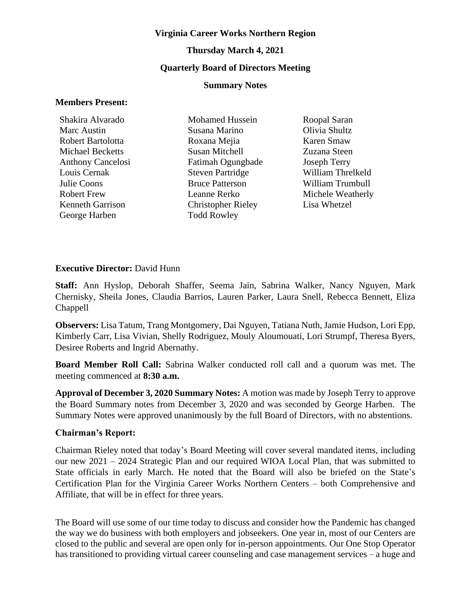#### **Virginia Career Works Northern Region**

# **Thursday March 4, 2021 Quarterly Board of Directors Meeting**

#### **Summary Notes**

#### **Members Present:**

Shakira Alvarado Marc Austin Robert Bartolotta Michael Becketts Anthony Cancelosi Louis Cernak Julie Coons Robert Frew Kenneth Garrison George Harben

Mohamed Hussein Susana Marino Roxana Mejia Susan Mitchell Fatimah Ogungbade Steven Partridge Bruce Patterson Leanne Rerko Christopher Rieley Todd Rowley

Roopal Saran Olivia Shultz Karen Smaw Zuzana Steen Joseph Terry William Threlkeld William Trumbull Michele Weatherly Lisa Whetzel

#### **Executive Director:** David Hunn

**Staff:** Ann Hyslop, Deborah Shaffer, Seema Jain, Sabrina Walker, Nancy Nguyen, Mark Chernisky, Sheila Jones, Claudia Barrios, Lauren Parker, Laura Snell, Rebecca Bennett, Eliza Chappell

**Observers:** Lisa Tatum, Trang Montgomery, Dai Nguyen, Tatiana Nuth, Jamie Hudson, Lori Epp, Kimberly Carr, Lisa Vivian, Shelly Rodriguez, Mouly Aloumouati, Lori Strumpf, Theresa Byers, Desiree Roberts and Ingrid Abernathy.

**Board Member Roll Call:** Sabrina Walker conducted roll call and a quorum was met. The meeting commenced at **8:30 a.m.**

**Approval of December 3, 2020 Summary Notes:** A motion was made by Joseph Terry to approve the Board Summary notes from December 3, 2020 and was seconded by George Harben. The Summary Notes were approved unanimously by the full Board of Directors, with no abstentions.

#### **Chairman's Report:**

Chairman Rieley noted that today's Board Meeting will cover several mandated items, including our new 2021 – 2024 Strategic Plan and our required WIOA Local Plan, that was submitted to State officials in early March. He noted that the Board will also be briefed on the State's Certification Plan for the Virginia Career Works Northern Centers – both Comprehensive and Affiliate, that will be in effect for three years.

The Board will use some of our time today to discuss and consider how the Pandemic has changed the way we do business with both employers and jobseekers. One year in, most of our Centers are closed to the public and several are open only for in-person appointments. Our One Stop Operator has transitioned to providing virtual career counseling and case management services – a huge and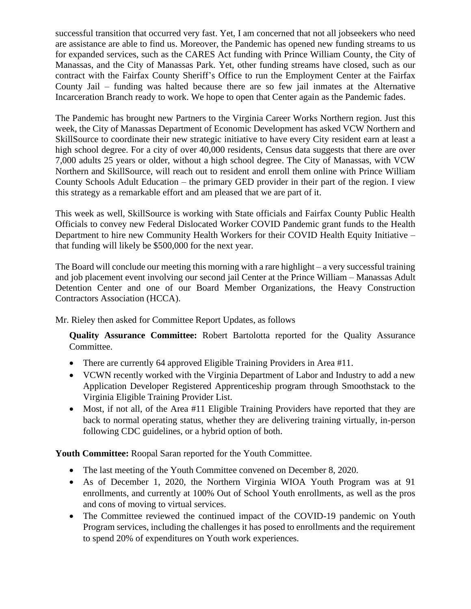successful transition that occurred very fast. Yet, I am concerned that not all jobseekers who need are assistance are able to find us. Moreover, the Pandemic has opened new funding streams to us for expanded services, such as the CARES Act funding with Prince William County, the City of Manassas, and the City of Manassas Park. Yet, other funding streams have closed, such as our contract with the Fairfax County Sheriff's Office to run the Employment Center at the Fairfax County Jail – funding was halted because there are so few jail inmates at the Alternative Incarceration Branch ready to work. We hope to open that Center again as the Pandemic fades.

The Pandemic has brought new Partners to the Virginia Career Works Northern region. Just this week, the City of Manassas Department of Economic Development has asked VCW Northern and SkillSource to coordinate their new strategic initiative to have every City resident earn at least a high school degree. For a city of over 40,000 residents, Census data suggests that there are over 7,000 adults 25 years or older, without a high school degree. The City of Manassas, with VCW Northern and SkillSource, will reach out to resident and enroll them online with Prince William County Schools Adult Education – the primary GED provider in their part of the region. I view this strategy as a remarkable effort and am pleased that we are part of it.

This week as well, SkillSource is working with State officials and Fairfax County Public Health Officials to convey new Federal Dislocated Worker COVID Pandemic grant funds to the Health Department to hire new Community Health Workers for their COVID Health Equity Initiative – that funding will likely be \$500,000 for the next year.

The Board will conclude our meeting this morning with a rare highlight – a very successful training and job placement event involving our second jail Center at the Prince William – Manassas Adult Detention Center and one of our Board Member Organizations, the Heavy Construction Contractors Association (HCCA).

Mr. Rieley then asked for Committee Report Updates, as follows

**Quality Assurance Committee:** Robert Bartolotta reported for the Quality Assurance Committee.

- There are currently 64 approved Eligible Training Providers in Area #11.
- VCWN recently worked with the Virginia Department of Labor and Industry to add a new Application Developer Registered Apprenticeship program through Smoothstack to the Virginia Eligible Training Provider List.
- Most, if not all, of the Area #11 Eligible Training Providers have reported that they are back to normal operating status, whether they are delivering training virtually, in-person following CDC guidelines, or a hybrid option of both.

**Youth Committee:** Roopal Saran reported for the Youth Committee.

- The last meeting of the Youth Committee convened on December 8, 2020.
- As of December 1, 2020, the Northern Virginia WIOA Youth Program was at 91 enrollments, and currently at 100% Out of School Youth enrollments, as well as the pros and cons of moving to virtual services.
- The Committee reviewed the continued impact of the COVID-19 pandemic on Youth Program services, including the challenges it has posed to enrollments and the requirement to spend 20% of expenditures on Youth work experiences.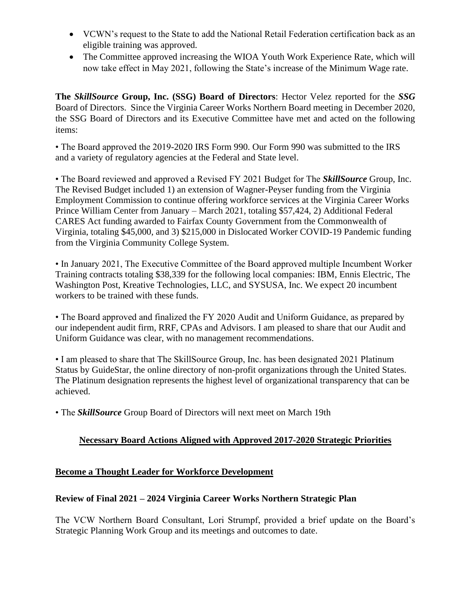- VCWN's request to the State to add the National Retail Federation certification back as an eligible training was approved.
- The Committee approved increasing the WIOA Youth Work Experience Rate, which will now take effect in May 2021, following the State's increase of the Minimum Wage rate.

**The** *SkillSource* **Group, Inc. (SSG) Board of Directors**: Hector Velez reported for the *SSG*  Board of Directors. Since the Virginia Career Works Northern Board meeting in December 2020, the SSG Board of Directors and its Executive Committee have met and acted on the following items:

• The Board approved the 2019-2020 IRS Form 990. Our Form 990 was submitted to the IRS and a variety of regulatory agencies at the Federal and State level.

• The Board reviewed and approved a Revised FY 2021 Budget for The *SkillSource* Group, Inc. The Revised Budget included 1) an extension of Wagner-Peyser funding from the Virginia Employment Commission to continue offering workforce services at the Virginia Career Works Prince William Center from January – March 2021, totaling \$57,424, 2) Additional Federal CARES Act funding awarded to Fairfax County Government from the Commonwealth of Virginia, totaling \$45,000, and 3) \$215,000 in Dislocated Worker COVID-19 Pandemic funding from the Virginia Community College System.

• In January 2021, The Executive Committee of the Board approved multiple Incumbent Worker Training contracts totaling \$38,339 for the following local companies: IBM, Ennis Electric, The Washington Post, Kreative Technologies, LLC, and SYSUSA, Inc. We expect 20 incumbent workers to be trained with these funds.

• The Board approved and finalized the FY 2020 Audit and Uniform Guidance, as prepared by our independent audit firm, RRF, CPAs and Advisors. I am pleased to share that our Audit and Uniform Guidance was clear, with no management recommendations.

• I am pleased to share that The SkillSource Group, Inc. has been designated 2021 Platinum Status by GuideStar, the online directory of non-profit organizations through the United States. The Platinum designation represents the highest level of organizational transparency that can be achieved.

• The *SkillSource* Group Board of Directors will next meet on March 19th

# **Necessary Board Actions Aligned with Approved 2017-2020 Strategic Priorities**

## **Become a Thought Leader for Workforce Development**

# **Review of Final 2021 – 2024 Virginia Career Works Northern Strategic Plan**

The VCW Northern Board Consultant, Lori Strumpf, provided a brief update on the Board's Strategic Planning Work Group and its meetings and outcomes to date.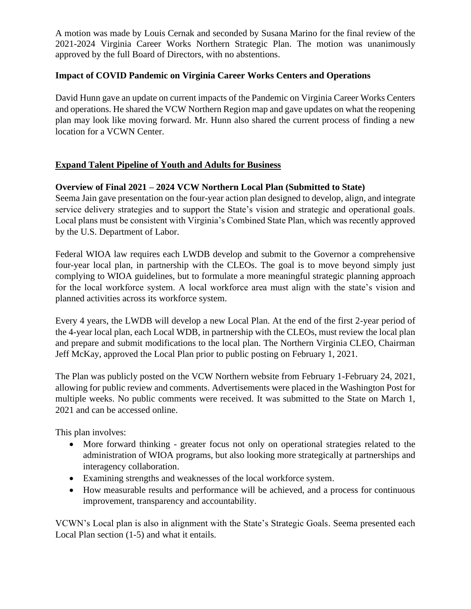A motion was made by Louis Cernak and seconded by Susana Marino for the final review of the 2021-2024 Virginia Career Works Northern Strategic Plan. The motion was unanimously approved by the full Board of Directors, with no abstentions.

## **Impact of COVID Pandemic on Virginia Career Works Centers and Operations**

David Hunn gave an update on current impacts of the Pandemic on Virginia Career Works Centers and operations. He shared the VCW Northern Region map and gave updates on what the reopening plan may look like moving forward. Mr. Hunn also shared the current process of finding a new location for a VCWN Center.

# **Expand Talent Pipeline of Youth and Adults for Business**

# **Overview of Final 2021 – 2024 VCW Northern Local Plan (Submitted to State)**

Seema Jain gave presentation on the four-year action plan designed to develop, align, and integrate service delivery strategies and to support the State's vision and strategic and operational goals. Local plans must be consistent with Virginia's Combined State Plan, which was recently approved by the U.S. Department of Labor.

Federal WIOA law requires each LWDB develop and submit to the Governor a comprehensive four-year local plan, in partnership with the CLEOs. The goal is to move beyond simply just complying to WIOA guidelines, but to formulate a more meaningful strategic planning approach for the local workforce system. A local workforce area must align with the state's vision and planned activities across its workforce system.

Every 4 years, the LWDB will develop a new Local Plan. At the end of the first 2-year period of the 4-year local plan, each Local WDB, in partnership with the CLEOs, must review the local plan and prepare and submit modifications to the local plan. The Northern Virginia CLEO, Chairman Jeff McKay, approved the Local Plan prior to public posting on February 1, 2021.

The Plan was publicly posted on the VCW Northern website from February 1-February 24, 2021, allowing for public review and comments. Advertisements were placed in the Washington Post for multiple weeks. No public comments were received. It was submitted to the State on March 1, 2021 and can be accessed online.

This plan involves:

- More forward thinking greater focus not only on operational strategies related to the administration of WIOA programs, but also looking more strategically at partnerships and interagency collaboration.
- Examining strengths and weaknesses of the local workforce system.
- How measurable results and performance will be achieved, and a process for continuous improvement, transparency and accountability.

VCWN's Local plan is also in alignment with the State's Strategic Goals. Seema presented each Local Plan section (1-5) and what it entails.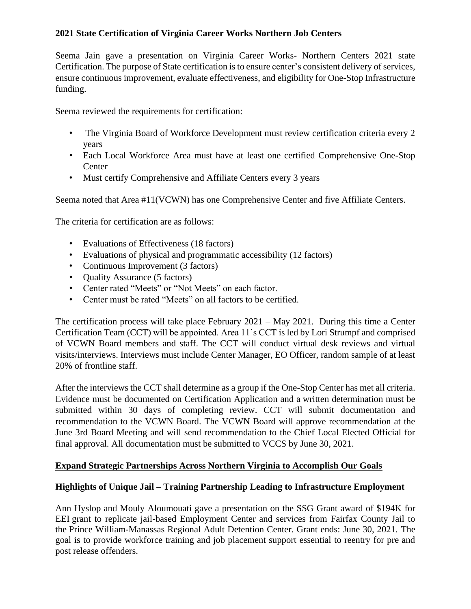# **2021 State Certification of Virginia Career Works Northern Job Centers**

Seema Jain gave a presentation on Virginia Career Works- Northern Centers 2021 state Certification. The purpose of State certification is to ensure center's consistent delivery of services, ensure continuous improvement, evaluate effectiveness, and eligibility for One-Stop Infrastructure funding.

Seema reviewed the requirements for certification:

- The Virginia Board of Workforce Development must review certification criteria every 2 years
- Each Local Workforce Area must have at least one certified Comprehensive One-Stop **Center**
- Must certify Comprehensive and Affiliate Centers every 3 years

Seema noted that Area #11(VCWN) has one Comprehensive Center and five Affiliate Centers.

The criteria for certification are as follows:

- Evaluations of Effectiveness (18 factors)
- Evaluations of physical and programmatic accessibility (12 factors)
- Continuous Improvement (3 factors)
- **Quality Assurance (5 factors)**
- Center rated "Meets" or "Not Meets" on each factor.
- Center must be rated "Meets" on all factors to be certified.

The certification process will take place February 2021 – May 2021. During this time a Center Certification Team (CCT) will be appointed. Area 11's CCT is led by Lori Strumpf and comprised of VCWN Board members and staff. The CCT will conduct virtual desk reviews and virtual visits/interviews. Interviews must include Center Manager, EO Officer, random sample of at least 20% of frontline staff.

After the interviews the CCT shall determine as a group if the One-Stop Center has met all criteria. Evidence must be documented on Certification Application and a written determination must be submitted within 30 days of completing review. CCT will submit documentation and recommendation to the VCWN Board. The VCWN Board will approve recommendation at the June 3rd Board Meeting and will send recommendation to the Chief Local Elected Official for final approval. All documentation must be submitted to VCCS by June 30, 2021.

## **Expand Strategic Partnerships Across Northern Virginia to Accomplish Our Goals**

## **Highlights of Unique Jail – Training Partnership Leading to Infrastructure Employment**

Ann Hyslop and Mouly Aloumouati gave a presentation on the SSG Grant award of \$194K for EEI grant to replicate jail-based Employment Center and services from Fairfax County Jail to the Prince William-Manassas Regional Adult Detention Center. Grant ends: June 30, 2021. The goal is to provide workforce training and job placement support essential to reentry for pre and post release offenders.